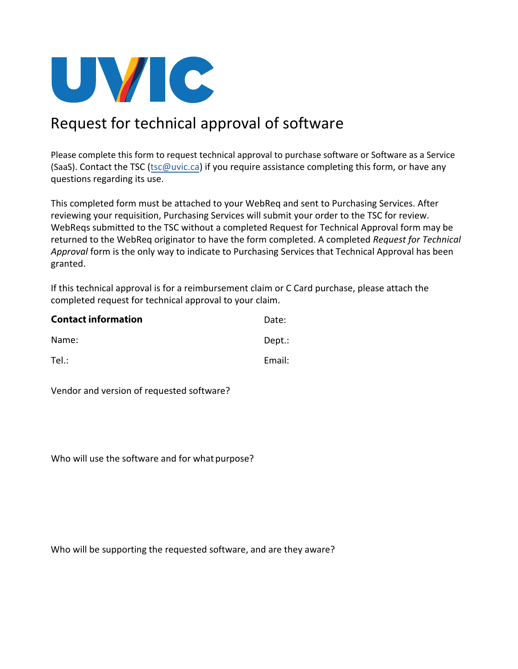

## Request for technical approval of software

Please complete this form to request technical approval to purchase software or Software as a Service (SaaS). Contact the TSC [\(tsc@uvic.ca\)](mailto:tsc@uvic.ca) if you require assistance completing this form, or have any questions regarding its use.

This completed form must be attached to your WebReq and sent to Purchasing Services. After reviewing your requisition, Purchasing Services will submit your order to the TSC for review. WebReqs submitted to the TSC without a completed Request for Technical Approval form may be returned to the WebReq originator to have the form completed. A completed *Request for Technical Approval* form is the only way to indicate to Purchasing Services that Technical Approval has been granted.

If this technical approval is for a reimbursement claim or C Card purchase, please attach the completed request for technical approval to your claim.

| <b>Contact information</b> | Date:  |
|----------------------------|--------|
| Name:                      | Dept.: |
| $Tel.$ :                   | Email: |

Vendor and version of requested software?

Who will use the software and for what purpose?

Who will be supporting the requested software, and are they aware?